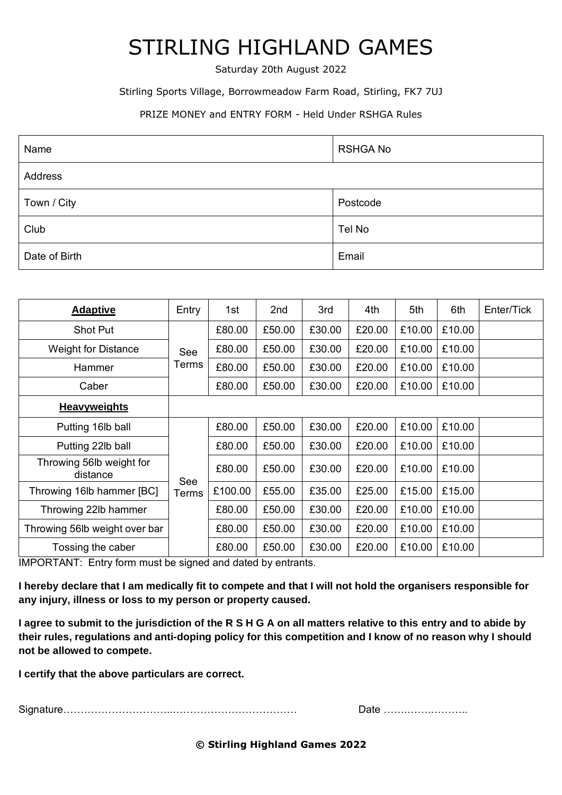## STIRLING HIGHLAND GAMES

Saturday 20th August 2022

#### Stirling Sports Village, Borrowmeadow Farm Road, Stirling, FK7 7UJ

### PRIZE MONEY and ENTRY FORM - Held Under RSHGA Rules

| Name          | <b>RSHGA No</b> |  |  |  |  |  |  |
|---------------|-----------------|--|--|--|--|--|--|
| Address       |                 |  |  |  |  |  |  |
| Town / City   | Postcode        |  |  |  |  |  |  |
| Club          | Tel No          |  |  |  |  |  |  |
| Date of Birth | Email           |  |  |  |  |  |  |

| <b>Adaptive</b>                      | Entry        | 1st     | 2 <sub>nd</sub> | 3rd    | 4th    | 5th    | 6th    | Enter/Tick |
|--------------------------------------|--------------|---------|-----------------|--------|--------|--------|--------|------------|
| <b>Shot Put</b>                      |              | £80.00  | £50.00          | £30.00 | £20.00 | £10.00 | £10.00 |            |
| <b>Weight for Distance</b>           | See          | £80.00  | £50.00          | £30.00 | £20.00 | £10.00 | £10.00 |            |
| Hammer                               | Terms        | £80.00  | £50.00          | £30.00 | £20.00 | £10.00 | £10.00 |            |
| Caber                                |              | £80.00  | £50.00          | £30.00 | £20.00 | £10.00 | £10.00 |            |
| <b>Heavyweights</b>                  |              |         |                 |        |        |        |        |            |
| Putting 16lb ball                    |              | £80.00  | £50.00          | £30.00 | £20.00 | £10.00 | £10.00 |            |
| Putting 22lb ball                    |              | £80.00  | £50.00          | £30.00 | £20.00 | £10.00 | £10.00 |            |
| Throwing 56lb weight for<br>distance | See<br>Terms | £80.00  | £50.00          | £30.00 | £20.00 | £10.00 | £10.00 |            |
| Throwing 16lb hammer [BC]            |              | £100.00 | £55.00          | £35.00 | £25.00 | £15.00 | £15.00 |            |
| Throwing 22lb hammer                 |              | £80.00  | £50.00          | £30.00 | £20.00 | £10.00 | £10.00 |            |
| Throwing 56lb weight over bar        |              | £80.00  | £50.00          | £30.00 | £20.00 | £10.00 | £10.00 |            |
| Tossing the caber                    |              | £80.00  | £50.00          | £30.00 | £20.00 | £10.00 | £10.00 |            |

IMPORTANT: Entry form must be signed and dated by entrants.

**I hereby declare that I am medically fit to compete and that I will not hold the organisers responsible for any injury, illness or loss to my person or property caused.** 

**I agree to submit to the jurisdiction of the R S H G A on all matters relative to this entry and to abide by their rules, regulations and anti-doping policy for this competition and I know of no reason why I should not be allowed to compete.**

**I certify that the above particulars are correct.**

Signature…………………………..……………………………… Date …….…….………..

| Date |  |  |  |  |  |  |  |  |  |  |  |  |  |  |  |  |  |  |
|------|--|--|--|--|--|--|--|--|--|--|--|--|--|--|--|--|--|--|
|------|--|--|--|--|--|--|--|--|--|--|--|--|--|--|--|--|--|--|

**© Stirling Highland Games 2022**